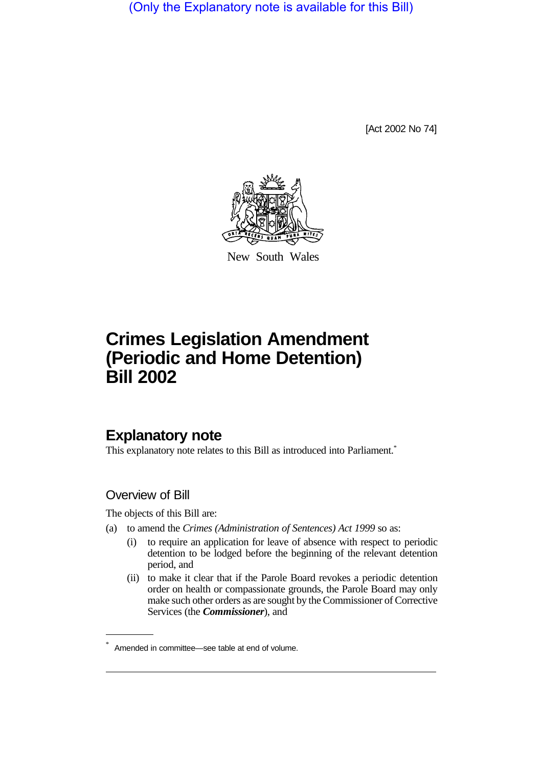(Only the Explanatory note is available for this Bill)

[Act 2002 No 74]



New South Wales

# **Crimes Legislation Amendment (Periodic and Home Detention) Bill 2002**

# **Explanatory note**

This explanatory note relates to this Bill as introduced into Parliament.<sup>\*</sup>

### Overview of Bill

The objects of this Bill are:

- (a) to amend the *Crimes (Administration of Sentences) Act 1999* so as:
	- (i) to require an application for leave of absence with respect to periodic detention to be lodged before the beginning of the relevant detention period, and
	- (ii) to make it clear that if the Parole Board revokes a periodic detention order on health or compassionate grounds, the Parole Board may only make such other orders as are sought by the Commissioner of Corrective Services (the *Commissioner*), and

Amended in committee—see table at end of volume.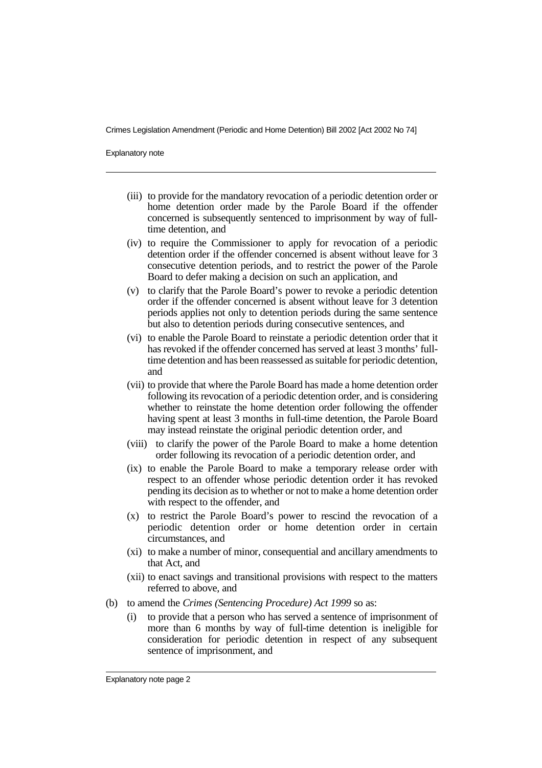Explanatory note

- (iii) to provide for the mandatory revocation of a periodic detention order or home detention order made by the Parole Board if the offender concerned is subsequently sentenced to imprisonment by way of fulltime detention, and
- (iv) to require the Commissioner to apply for revocation of a periodic detention order if the offender concerned is absent without leave for 3 consecutive detention periods, and to restrict the power of the Parole Board to defer making a decision on such an application, and
- (v) to clarify that the Parole Board's power to revoke a periodic detention order if the offender concerned is absent without leave for 3 detention periods applies not only to detention periods during the same sentence but also to detention periods during consecutive sentences, and
- (vi) to enable the Parole Board to reinstate a periodic detention order that it has revoked if the offender concerned has served at least 3 months' fulltime detention and has been reassessed as suitable for periodic detention, and
- (vii) to provide that where the Parole Board has made a home detention order following its revocation of a periodic detention order, and is considering whether to reinstate the home detention order following the offender having spent at least 3 months in full-time detention, the Parole Board may instead reinstate the original periodic detention order, and
- (viii) to clarify the power of the Parole Board to make a home detention order following its revocation of a periodic detention order, and
- (ix) to enable the Parole Board to make a temporary release order with respect to an offender whose periodic detention order it has revoked pending its decision as to whether or not to make a home detention order with respect to the offender, and
- (x) to restrict the Parole Board's power to rescind the revocation of a periodic detention order or home detention order in certain circumstances, and
- (xi) to make a number of minor, consequential and ancillary amendments to that Act, and
- (xii) to enact savings and transitional provisions with respect to the matters referred to above, and
- (b) to amend the *Crimes (Sentencing Procedure) Act 1999* so as:
	- (i) to provide that a person who has served a sentence of imprisonment of more than 6 months by way of full-time detention is ineligible for consideration for periodic detention in respect of any subsequent sentence of imprisonment, and

Explanatory note page 2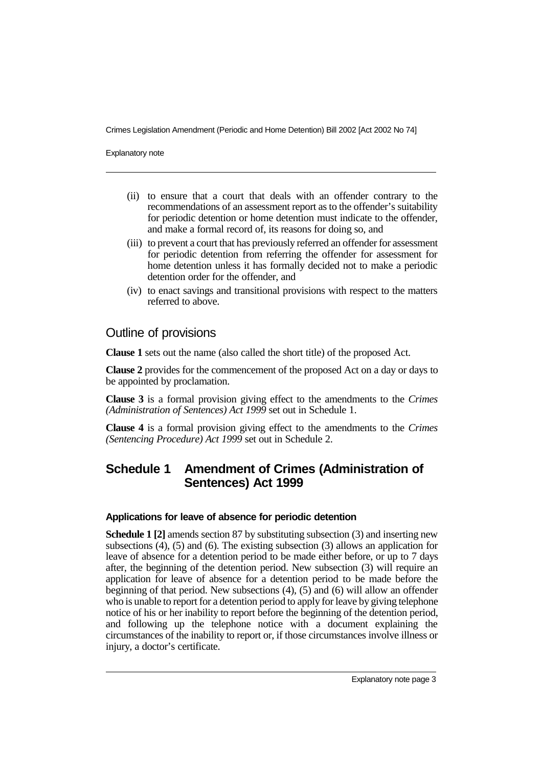Explanatory note

- (ii) to ensure that a court that deals with an offender contrary to the recommendations of an assessment report as to the offender's suitability for periodic detention or home detention must indicate to the offender, and make a formal record of, its reasons for doing so, and
- (iii) to prevent a court that has previously referred an offender for assessment for periodic detention from referring the offender for assessment for home detention unless it has formally decided not to make a periodic detention order for the offender, and
- (iv) to enact savings and transitional provisions with respect to the matters referred to above.

### Outline of provisions

**Clause 1** sets out the name (also called the short title) of the proposed Act.

**Clause 2** provides for the commencement of the proposed Act on a day or days to be appointed by proclamation.

**Clause 3** is a formal provision giving effect to the amendments to the *Crimes (Administration of Sentences) Act 1999* set out in Schedule 1.

**Clause 4** is a formal provision giving effect to the amendments to the *Crimes (Sentencing Procedure) Act 1999* set out in Schedule 2.

# **Schedule 1 Amendment of Crimes (Administration of Sentences) Act 1999**

#### **Applications for leave of absence for periodic detention**

**Schedule 1 [2]** amends section 87 by substituting subsection (3) and inserting new subsections (4), (5) and (6). The existing subsection (3) allows an application for leave of absence for a detention period to be made either before, or up to 7 days after, the beginning of the detention period. New subsection (3) will require an application for leave of absence for a detention period to be made before the beginning of that period. New subsections (4), (5) and (6) will allow an offender who is unable to report for a detention period to apply for leave by giving telephone notice of his or her inability to report before the beginning of the detention period, and following up the telephone notice with a document explaining the circumstances of the inability to report or, if those circumstances involve illness or injury, a doctor's certificate.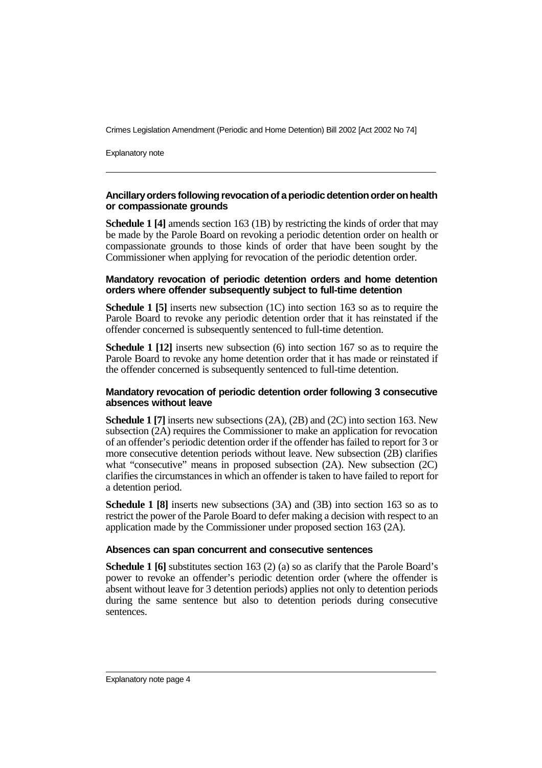Explanatory note

#### **Ancillaryorders following revocation of a periodic detention order on health or compassionate grounds**

**Schedule 1 [4]** amends section 163 (1B) by restricting the kinds of order that may be made by the Parole Board on revoking a periodic detention order on health or compassionate grounds to those kinds of order that have been sought by the Commissioner when applying for revocation of the periodic detention order.

#### **Mandatory revocation of periodic detention orders and home detention orders where offender subsequently subject to full-time detention**

**Schedule 1 [5]** inserts new subsection (1C) into section 163 so as to require the Parole Board to revoke any periodic detention order that it has reinstated if the offender concerned is subsequently sentenced to full-time detention.

**Schedule 1 [12]** inserts new subsection (6) into section 167 so as to require the Parole Board to revoke any home detention order that it has made or reinstated if the offender concerned is subsequently sentenced to full-time detention.

#### **Mandatory revocation of periodic detention order following 3 consecutive absences without leave**

**Schedule 1 [7]** inserts new subsections (2A), (2B) and (2C) into section 163. New subsection (2A) requires the Commissioner to make an application for revocation of an offender's periodic detention order if the offender has failed to report for 3 or more consecutive detention periods without leave. New subsection (2B) clarifies what "consecutive" means in proposed subsection (2A). New subsection (2C) clarifies the circumstances in which an offender is taken to have failed to report for a detention period.

**Schedule 1 [8]** inserts new subsections (3A) and (3B) into section 163 so as to restrict the power of the Parole Board to defer making a decision with respect to an application made by the Commissioner under proposed section 163 (2A).

#### **Absences can span concurrent and consecutive sentences**

**Schedule 1 [6]** substitutes section 163 (2) (a) so as clarify that the Parole Board's power to revoke an offender's periodic detention order (where the offender is absent without leave for 3 detention periods) applies not only to detention periods during the same sentence but also to detention periods during consecutive sentences.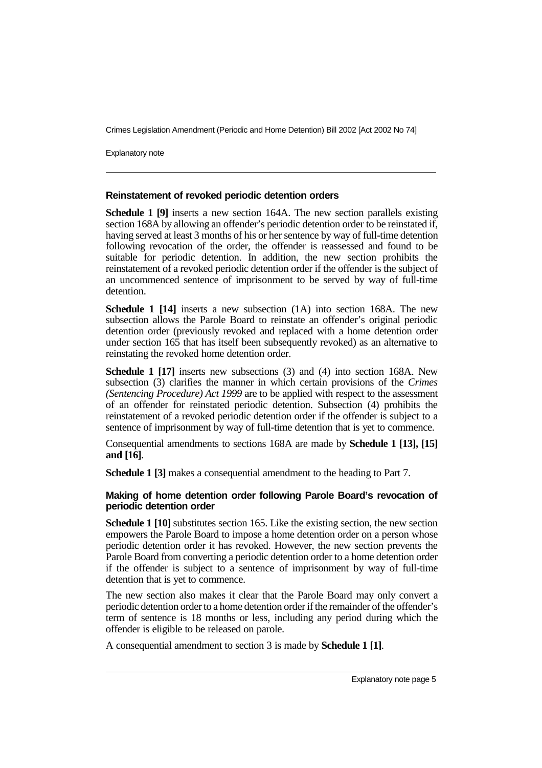Explanatory note

#### **Reinstatement of revoked periodic detention orders**

**Schedule 1 [9]** inserts a new section 164A. The new section parallels existing section 168A by allowing an offender's periodic detention order to be reinstated if, having served at least 3 months of his or her sentence by way of full-time detention following revocation of the order, the offender is reassessed and found to be suitable for periodic detention. In addition, the new section prohibits the reinstatement of a revoked periodic detention order if the offender is the subject of an uncommenced sentence of imprisonment to be served by way of full-time detention.

**Schedule 1 [14]** inserts a new subsection (1A) into section 168A. The new subsection allows the Parole Board to reinstate an offender's original periodic detention order (previously revoked and replaced with a home detention order under section 165 that has itself been subsequently revoked) as an alternative to reinstating the revoked home detention order.

**Schedule 1 [17]** inserts new subsections (3) and (4) into section 168A. New subsection (3) clarifies the manner in which certain provisions of the *Crimes (Sentencing Procedure) Act 1999* are to be applied with respect to the assessment of an offender for reinstated periodic detention. Subsection (4) prohibits the reinstatement of a revoked periodic detention order if the offender is subject to a sentence of imprisonment by way of full-time detention that is yet to commence.

Consequential amendments to sections 168A are made by **Schedule 1 [13], [15] and [16]**.

**Schedule 1 [3]** makes a consequential amendment to the heading to Part 7.

#### **Making of home detention order following Parole Board's revocation of periodic detention order**

**Schedule 1 [10]** substitutes section 165. Like the existing section, the new section empowers the Parole Board to impose a home detention order on a person whose periodic detention order it has revoked. However, the new section prevents the Parole Board from converting a periodic detention order to a home detention order if the offender is subject to a sentence of imprisonment by way of full-time detention that is yet to commence.

The new section also makes it clear that the Parole Board may only convert a periodic detention order to a home detention order if the remainder of the offender's term of sentence is 18 months or less, including any period during which the offender is eligible to be released on parole.

A consequential amendment to section 3 is made by **Schedule 1 [1]**.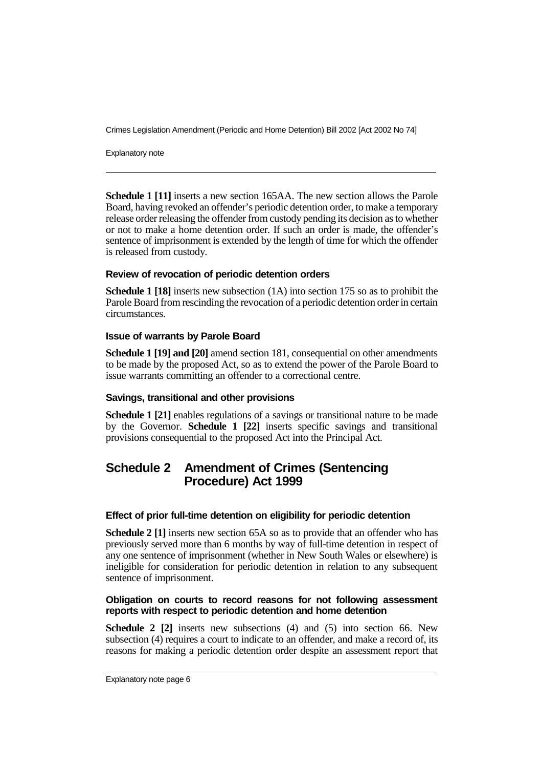Explanatory note

**Schedule 1 [11]** inserts a new section 165AA. The new section allows the Parole Board, having revoked an offender's periodic detention order, to make a temporary release order releasing the offender from custody pending its decision as to whether or not to make a home detention order. If such an order is made, the offender's sentence of imprisonment is extended by the length of time for which the offender is released from custody.

#### **Review of revocation of periodic detention orders**

**Schedule 1 [18]** inserts new subsection (1A) into section 175 so as to prohibit the Parole Board from rescinding the revocation of a periodic detention order in certain circumstances.

#### **Issue of warrants by Parole Board**

**Schedule 1 [19] and [20]** amend section 181, consequential on other amendments to be made by the proposed Act, so as to extend the power of the Parole Board to issue warrants committing an offender to a correctional centre.

#### **Savings, transitional and other provisions**

**Schedule 1 [21]** enables regulations of a savings or transitional nature to be made by the Governor. **Schedule 1 [22]** inserts specific savings and transitional provisions consequential to the proposed Act into the Principal Act.

## **Schedule 2 Amendment of Crimes (Sentencing Procedure) Act 1999**

#### **Effect of prior full-time detention on eligibility for periodic detention**

**Schedule 2 [1]** inserts new section 65A so as to provide that an offender who has previously served more than 6 months by way of full-time detention in respect of any one sentence of imprisonment (whether in New South Wales or elsewhere) is ineligible for consideration for periodic detention in relation to any subsequent sentence of imprisonment.

#### **Obligation on courts to record reasons for not following assessment reports with respect to periodic detention and home detention**

**Schedule 2 [2]** inserts new subsections (4) and (5) into section 66. New subsection (4) requires a court to indicate to an offender, and make a record of, its reasons for making a periodic detention order despite an assessment report that